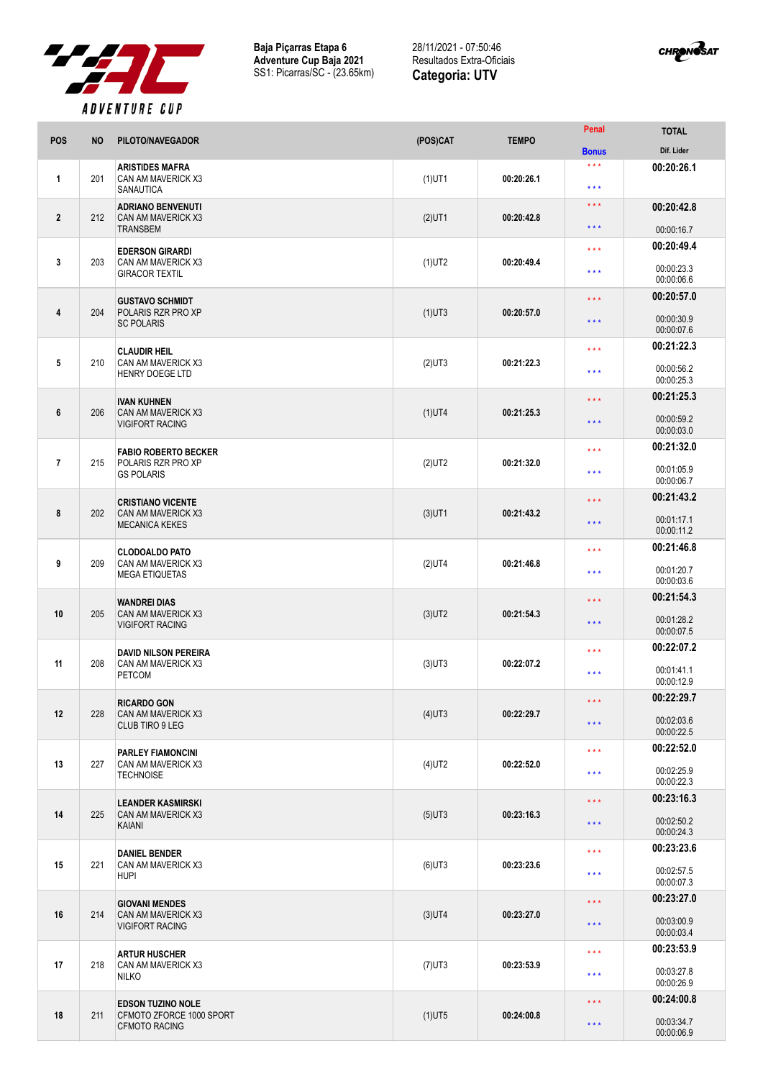

**Baja Piçarras Etapa 6 Adventure Cup Baja 2021** SS1: Picarras/SC - (23.65km)

28/11/2021 - 07:50:46 Resultados Extra-Oficiais **Categoria: UTV**



| <b>POS</b>              | <b>NO</b> | PILOTO/NAVEGADOR                                                        | (POS)CAT  | <b>TEMPO</b> | Penal                                      | <b>TOTAL</b>             |
|-------------------------|-----------|-------------------------------------------------------------------------|-----------|--------------|--------------------------------------------|--------------------------|
|                         |           |                                                                         |           |              | <b>Bonus</b>                               | Dif. Lider               |
| $\mathbf{1}$            | 201       | <b>ARISTIDES MAFRA</b><br>CAN AM MAVERICK X3<br>SANAUTICA               | $(1)$ UT1 | 00:20:26.1   | $***$<br>$\star \star \star$               | 00:20:26.1               |
| $\overline{2}$          | 212       | <b>ADRIANO BENVENUTI</b><br>CAN AM MAVERICK X3<br><b>TRANSBEM</b>       | $(2)$ UT1 | 00:20:42.8   | $\star \star \star$<br>$\star \star \star$ | 00:20:42.8<br>00:00:16.7 |
|                         |           |                                                                         |           |              |                                            | 00:20:49.4               |
| 3                       | 203       | <b>EDERSON GIRARDI</b><br>CAN AM MAVERICK X3<br><b>GIRACOR TEXTIL</b>   | $(1)$ UT2 | 00:20:49.4   | $\star \star \star$<br>$***$               | 00:00:23.3<br>00:00:06.6 |
|                         |           |                                                                         |           | 00:20:57.0   | $\star \star \star$                        | 00:20:57.0               |
| $\overline{\mathbf{4}}$ | 204       | <b>GUSTAVO SCHMIDT</b><br>POLARIS RZR PRO XP<br><b>SC POLARIS</b>       | $(1)$ UT3 |              | $\star \star \star$                        | 00:00:30.9<br>00:00:07.6 |
|                         |           |                                                                         |           | 00:21:22.3   | $\star \star \star$                        | 00:21:22.3               |
| 5                       | 210       | <b>CLAUDIR HEIL</b><br>CAN AM MAVERICK X3<br><b>HENRY DOEGE LTD</b>     | $(2)$ UT3 |              | $\star \star \star$                        | 00:00:56.2<br>00:00:25.3 |
|                         |           | <b>IVAN KUHNEN</b>                                                      |           | 00:21:25.3   | $\star \star \star$                        | 00:21:25.3               |
| 6                       | 206       | CAN AM MAVERICK X3<br><b>VIGIFORT RACING</b>                            | $(1)$ UT4 |              | $\star \star \star$                        | 00:00:59.2<br>00:00:03.0 |
|                         |           | <b>FABIO ROBERTO BECKER</b>                                             |           | 00:21:32.0   | $\star \star \star$                        | 00:21:32.0               |
| $\overline{7}$          | 215       | POLARIS RZR PRO XP<br><b>GS POLARIS</b>                                 | $(2)$ UT2 |              | $\star \star \star$                        | 00:01:05.9<br>00:00:06.7 |
|                         |           | <b>CRISTIANO VICENTE</b><br>CAN AM MAVERICK X3<br><b>MECANICA KEKES</b> |           |              | $\star \star \star$                        | 00:21:43.2               |
| 8                       | 202       |                                                                         | $(3)$ UT1 | 00:21:43.2   | $\star \star \star$                        | 00:01:17.1<br>00:00:11.2 |
|                         |           | <b>CLODOALDO PATO</b>                                                   |           |              | $\star \star \star$                        | 00:21:46.8               |
| 9                       | 209       | CAN AM MAVERICK X3<br><b>MEGA ETIQUETAS</b>                             | $(2)$ UT4 | 00:21:46.8   | $\star \star \star$                        | 00:01:20.7<br>00:00:03.6 |
|                         |           | <b>WANDREI DIAS</b>                                                     |           | 00:21:54.3   | $\star \star \star$                        | 00:21:54.3               |
| 10                      | 205       | CAN AM MAVERICK X3<br><b>VIGIFORT RACING</b>                            | $(3)$ UT2 |              | $\star \star \star$                        | 00:01:28.2<br>00:00:07.5 |
|                         |           | <b>DAVID NILSON PEREIRA</b>                                             |           | 00:22:07.2   | $\star \star \star$                        | 00:22:07.2               |
| 11                      | 208       | CAN AM MAVERICK X3<br><b>PETCOM</b>                                     | $(3)$ UT3 |              | $***$                                      | 00:01:41.1<br>00:00:12.9 |
|                         |           | <b>RICARDO GON</b>                                                      |           | 00:22:29.7   | $\star \star \star$                        | 00:22:29.7               |
| 12                      | 228       | CAN AM MAVERICK X3<br>CLUB TIRO 9 LEG                                   | $(4)$ UT3 |              | $\star$ $\star$ $\star$                    | 00:02:03.6<br>00:00:22.5 |
|                         |           | PARLEY FIAMONCINI                                                       |           | 00:22:52.0   | $\star$ $\star$ $\star$                    | 00:22:52.0               |
| 13                      | 227       | CAN AM MAVERICK X3<br><b>TECHNOISE</b>                                  | $(4)$ UT2 |              | $\star \star \star$                        | 00:02:25.9<br>00:00:22.3 |
|                         | 225       | <b>LEANDER KASMIRSKI</b><br>CAN AM MAVERICK X3<br>KAIANI                | $(5)$ UT3 | 00:23:16.3   | $\star$ $\star$ $\star$                    | 00:23:16.3               |
| 14                      |           |                                                                         |           |              | $\star$ $\star$ $\star$                    | 00:02:50.2<br>00:00:24.3 |
|                         | 221       | <b>DANIEL BENDER</b><br>CAN AM MAVERICK X3<br><b>HUPI</b>               | $(6)$ UT3 | 00:23:23.6   | $\star \star \star$                        | 00:23:23.6               |
| 15                      |           |                                                                         |           |              | $* * *$                                    | 00:02:57.5<br>00:00:07.3 |
|                         |           | <b>GIOVANI MENDES</b>                                                   |           | 00:23:27.0   | $\star \star \star$                        | 00:23:27.0               |
| 16                      | 214       | CAN AM MAVERICK X3<br><b>VIGIFORT RACING</b>                            | $(3)$ UT4 |              | $\star \star \star$                        | 00:03:00.9<br>00:00:03.4 |
|                         |           | <b>ARTUR HUSCHER</b>                                                    |           | 00:23:53.9   | $\star \star \star$                        | 00:23:53.9               |
| 17                      | 218       | CAN AM MAVERICK X3<br><b>NILKO</b>                                      | $(7)$ UT3 |              | $\star \star \star$                        | 00:03:27.8<br>00:00:26.9 |
|                         |           | <b>EDSON TUZINO NOLE</b>                                                |           |              | $\star \star \star$                        | 00:24:00.8               |
| 18                      | 211       | CFMOTO ZFORCE 1000 SPORT<br><b>CFMOTO RACING</b>                        | $(1)$ UT5 | 00:24:00.8   | $\star$ $\star$ $\star$                    | 00:03:34.7<br>00:00:06.9 |